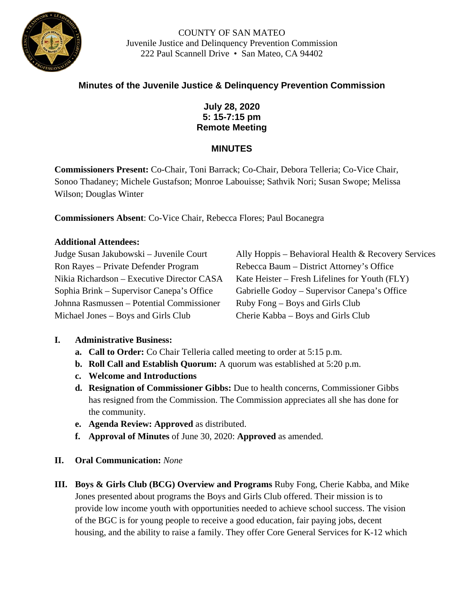

# **Minutes of the Juvenile Justice & Delinquency Prevention Commission**

## **July 28, 2020 5: 15-7:15 pm Remote Meeting**

#### **MINUTES**

**Commissioners Present:** Co-Chair, Toni Barrack; Co-Chair, Debora Telleria; Co-Vice Chair, Sonoo Thadaney; Michele Gustafson; Monroe Labouisse; Sathvik Nori; Susan Swope; Melissa Wilson; Douglas Winter

**Commissioners Absent**: Co-Vice Chair, Rebecca Flores; Paul Bocanegra

#### **Additional Attendees:**

Ron Rayes – Private Defender Program Rebecca Baum – District Attorney's Office Johnna Rasmussen – Potential Commissioner Ruby Fong – Boys and Girls Club Michael Jones – Boys and Girls Club Cherie Kabba – Boys and Girls Club

Judge Susan Jakubowski – Juvenile Court Ally Hoppis – Behavioral Health & Recovery Services Nikia Richardson – Executive Director CASA Kate Heister – Fresh Lifelines for Youth (FLY) Sophia Brink – Supervisor Canepa's Office Gabrielle Godoy – Supervisor Canepa's Office

#### **I. Administrative Business:**

- **a. Call to Order:** Co Chair Telleria called meeting to order at 5:15 p.m.
- **b. Roll Call and Establish Quorum:** A quorum was established at 5:20 p.m.
- **c. Welcome and Introductions**
- **d. Resignation of Commissioner Gibbs:** Due to health concerns, Commissioner Gibbs has resigned from the Commission. The Commission appreciates all she has done for the community.
- **e. Agenda Review: Approved** as distributed.
- **f. Approval of Minutes** of June 30, 2020: **Approved** as amended.
- **II. Oral Communication:** *None*
- **III. Boys & Girls Club (BCG) Overview and Programs** Ruby Fong, Cherie Kabba, and Mike Jones presented about programs the Boys and Girls Club offered. Their mission is to provide low income youth with opportunities needed to achieve school success. The vision of the BGC is for young people to receive a good education, fair paying jobs, decent housing, and the ability to raise a family. They offer Core General Services for K-12 which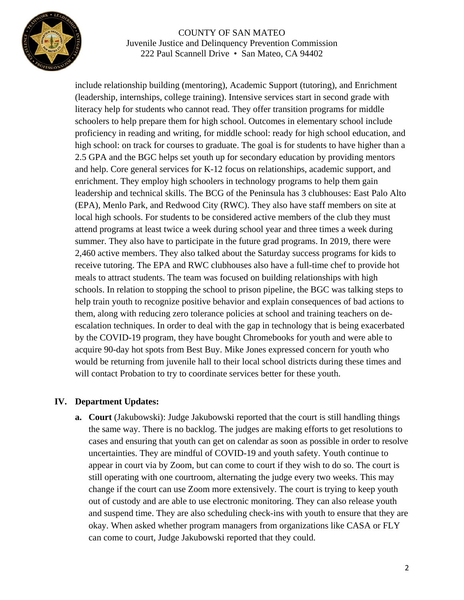

include relationship building (mentoring), Academic Support (tutoring), and Enrichment (leadership, internships, college training). Intensive services start in second grade with literacy help for students who cannot read. They offer transition programs for middle schoolers to help prepare them for high school. Outcomes in elementary school include proficiency in reading and writing, for middle school: ready for high school education, and high school: on track for courses to graduate. The goal is for students to have higher than a 2.5 GPA and the BGC helps set youth up for secondary education by providing mentors and help. Core general services for K-12 focus on relationships, academic support, and enrichment. They employ high schoolers in technology programs to help them gain leadership and technical skills. The BCG of the Peninsula has 3 clubhouses: East Palo Alto (EPA), Menlo Park, and Redwood City (RWC). They also have staff members on site at local high schools. For students to be considered active members of the club they must attend programs at least twice a week during school year and three times a week during summer. They also have to participate in the future grad programs. In 2019, there were 2,460 active members. They also talked about the Saturday success programs for kids to receive tutoring. The EPA and RWC clubhouses also have a full-time chef to provide hot meals to attract students. The team was focused on building relationships with high schools. In relation to stopping the school to prison pipeline, the BGC was talking steps to help train youth to recognize positive behavior and explain consequences of bad actions to them, along with reducing zero tolerance policies at school and training teachers on deescalation techniques. In order to deal with the gap in technology that is being exacerbated by the COVID-19 program, they have bought Chromebooks for youth and were able to acquire 90-day hot spots from Best Buy. Mike Jones expressed concern for youth who would be returning from juvenile hall to their local school districts during these times and will contact Probation to try to coordinate services better for these youth.

## **IV. Department Updates:**

**a. Court** (Jakubowski): Judge Jakubowski reported that the court is still handling things the same way. There is no backlog. The judges are making efforts to get resolutions to cases and ensuring that youth can get on calendar as soon as possible in order to resolve uncertainties. They are mindful of COVID-19 and youth safety. Youth continue to appear in court via by Zoom, but can come to court if they wish to do so. The court is still operating with one courtroom, alternating the judge every two weeks. This may change if the court can use Zoom more extensively. The court is trying to keep youth out of custody and are able to use electronic monitoring. They can also release youth and suspend time. They are also scheduling check-ins with youth to ensure that they are okay. When asked whether program managers from organizations like CASA or FLY can come to court, Judge Jakubowski reported that they could.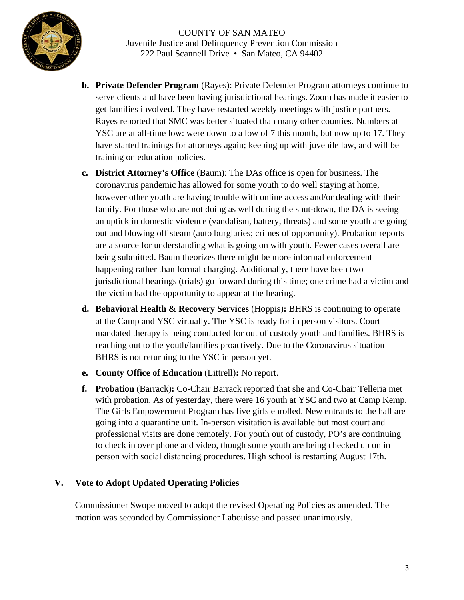

- **b. Private Defender Program** (Rayes): Private Defender Program attorneys continue to serve clients and have been having jurisdictional hearings. Zoom has made it easier to get families involved. They have restarted weekly meetings with justice partners. Rayes reported that SMC was better situated than many other counties. Numbers at YSC are at all-time low: were down to a low of 7 this month, but now up to 17. They have started trainings for attorneys again; keeping up with juvenile law, and will be training on education policies.
- **c. District Attorney's Office** (Baum): The DAs office is open for business. The coronavirus pandemic has allowed for some youth to do well staying at home, however other youth are having trouble with online access and/or dealing with their family. For those who are not doing as well during the shut-down, the DA is seeing an uptick in domestic violence (vandalism, battery, threats) and some youth are going out and blowing off steam (auto burglaries; crimes of opportunity). Probation reports are a source for understanding what is going on with youth. Fewer cases overall are being submitted. Baum theorizes there might be more informal enforcement happening rather than formal charging. Additionally, there have been two jurisdictional hearings (trials) go forward during this time; one crime had a victim and the victim had the opportunity to appear at the hearing.
- **d. Behavioral Health & Recovery Services** (Hoppis)**:** BHRS is continuing to operate at the Camp and YSC virtually. The YSC is ready for in person visitors. Court mandated therapy is being conducted for out of custody youth and families. BHRS is reaching out to the youth/families proactively. Due to the Coronavirus situation BHRS is not returning to the YSC in person yet.
- **e. County Office of Education** (Littrell)**:** No report.
- **f. Probation** (Barrack)**:** Co-Chair Barrack reported that she and Co-Chair Telleria met with probation. As of yesterday, there were 16 youth at YSC and two at Camp Kemp. The Girls Empowerment Program has five girls enrolled. New entrants to the hall are going into a quarantine unit. In-person visitation is available but most court and professional visits are done remotely. For youth out of custody, PO's are continuing to check in over phone and video, though some youth are being checked up on in person with social distancing procedures. High school is restarting August 17th.

## **V. Vote to Adopt Updated Operating Policies**

Commissioner Swope moved to adopt the revised Operating Policies as amended. The motion was seconded by Commissioner Labouisse and passed unanimously.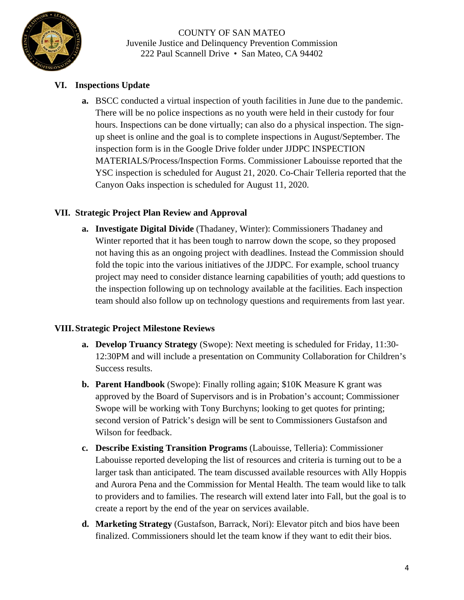

# **VI. Inspections Update**

**a.** BSCC conducted a virtual inspection of youth facilities in June due to the pandemic. There will be no police inspections as no youth were held in their custody for four hours. Inspections can be done virtually; can also do a physical inspection. The signup sheet is online and the goal is to complete inspections in August/September. The inspection form is in the Google Drive folder under JJDPC INSPECTION MATERIALS/Process/Inspection Forms. Commissioner Labouisse reported that the YSC inspection is scheduled for August 21, 2020. Co-Chair Telleria reported that the Canyon Oaks inspection is scheduled for August 11, 2020.

## **VII. Strategic Project Plan Review and Approval**

**a. Investigate Digital Divide** (Thadaney, Winter): Commissioners Thadaney and Winter reported that it has been tough to narrow down the scope, so they proposed not having this as an ongoing project with deadlines. Instead the Commission should fold the topic into the various initiatives of the JJDPC. For example, school truancy project may need to consider distance learning capabilities of youth; add questions to the inspection following up on technology available at the facilities. Each inspection team should also follow up on technology questions and requirements from last year.

## **VIII. Strategic Project Milestone Reviews**

- **a. Develop Truancy Strategy** (Swope): Next meeting is scheduled for Friday, 11:30- 12:30PM and will include a presentation on Community Collaboration for Children's Success results.
- **b. Parent Handbook** (Swope): Finally rolling again; \$10K Measure K grant was approved by the Board of Supervisors and is in Probation's account; Commissioner Swope will be working with Tony Burchyns; looking to get quotes for printing; second version of Patrick's design will be sent to Commissioners Gustafson and Wilson for feedback.
- **c. Describe Existing Transition Programs** (Labouisse, Telleria): Commissioner Labouisse reported developing the list of resources and criteria is turning out to be a larger task than anticipated. The team discussed available resources with Ally Hoppis and Aurora Pena and the Commission for Mental Health. The team would like to talk to providers and to families. The research will extend later into Fall, but the goal is to create a report by the end of the year on services available.
- **d. Marketing Strategy** (Gustafson, Barrack, Nori): Elevator pitch and bios have been finalized. Commissioners should let the team know if they want to edit their bios.